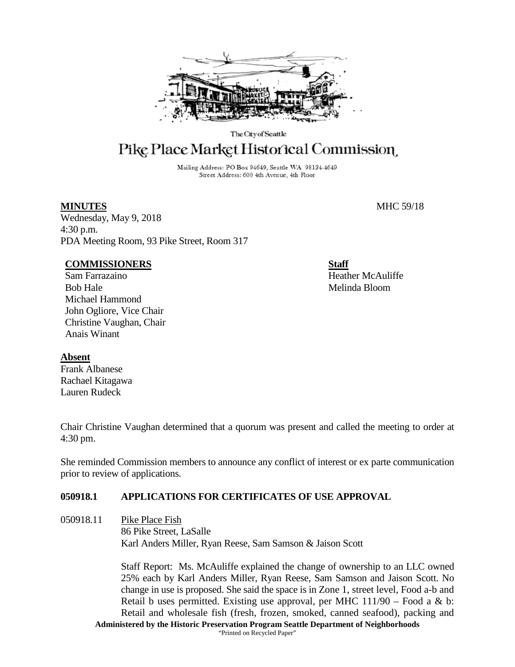

The City of Seattle

# Pike Place Market Historical Commission

Mailing Address: PO Box 94649, Seattle WA 98124-4649 Street Address: 600 4th Avenue, 4th Floor

Wednesday, May 9, 2018 4:30 p.m. PDA Meeting Room, 93 Pike Street, Room 317

### **COMMISSIONERS**

Sam Farrazaino Bob Hale Michael Hammond John Ogliore, Vice Chair Christine Vaughan, Chair Anais Winant

#### **Absent**

Frank Albanese Rachael Kitagawa Lauren Rudeck

Chair Christine Vaughan determined that a quorum was present and called the meeting to order at 4:30 pm.

She reminded Commission members to announce any conflict of interest or ex parte communication prior to review of applications.

# **050918.1 APPLICATIONS FOR CERTIFICATES OF USE APPROVAL**

050918.11 Pike Place Fish 86 Pike Street, LaSalle Karl Anders Miller, Ryan Reese, Sam Samson & Jaison Scott

> **Administered by the Historic Preservation Program Seattle Department of Neighborhoods** Staff Report: Ms. McAuliffe explained the change of ownership to an LLC owned 25% each by Karl Anders Miller, Ryan Reese, Sam Samson and Jaison Scott. No change in use is proposed. She said the space is in Zone 1, street level, Food a-b and Retail b uses permitted. Existing use approval, per MHC  $111/90$  – Food a & b: Retail and wholesale fish (fresh, frozen, smoked, canned seafood), packing and

"Printed on Recycled Paper"

**MINUTES** MHC 59/18

**Staff** Heather McAuliffe Melinda Bloom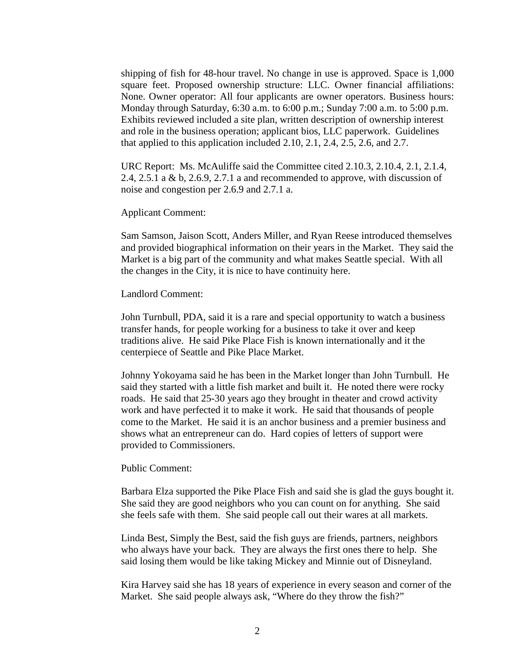shipping of fish for 48-hour travel. No change in use is approved. Space is 1,000 square feet. Proposed ownership structure: LLC. Owner financial affiliations: None. Owner operator: All four applicants are owner operators. Business hours: Monday through Saturday, 6:30 a.m. to 6:00 p.m.; Sunday 7:00 a.m. to 5:00 p.m. Exhibits reviewed included a site plan, written description of ownership interest and role in the business operation; applicant bios, LLC paperwork. Guidelines that applied to this application included 2.10, 2.1, 2.4, 2.5, 2.6, and 2.7.

URC Report: Ms. McAuliffe said the Committee cited 2.10.3, 2.10.4, 2.1, 2.1.4, 2.4, 2.5.1 a & b, 2.6.9, 2.7.1 a and recommended to approve, with discussion of noise and congestion per 2.6.9 and 2.7.1 a.

Applicant Comment:

Sam Samson, Jaison Scott, Anders Miller, and Ryan Reese introduced themselves and provided biographical information on their years in the Market. They said the Market is a big part of the community and what makes Seattle special. With all the changes in the City, it is nice to have continuity here.

Landlord Comment:

John Turnbull, PDA, said it is a rare and special opportunity to watch a business transfer hands, for people working for a business to take it over and keep traditions alive. He said Pike Place Fish is known internationally and it the centerpiece of Seattle and Pike Place Market.

Johnny Yokoyama said he has been in the Market longer than John Turnbull. He said they started with a little fish market and built it. He noted there were rocky roads. He said that 25-30 years ago they brought in theater and crowd activity work and have perfected it to make it work. He said that thousands of people come to the Market. He said it is an anchor business and a premier business and shows what an entrepreneur can do. Hard copies of letters of support were provided to Commissioners.

Public Comment:

Barbara Elza supported the Pike Place Fish and said she is glad the guys bought it. She said they are good neighbors who you can count on for anything. She said she feels safe with them. She said people call out their wares at all markets.

Linda Best, Simply the Best, said the fish guys are friends, partners, neighbors who always have your back. They are always the first ones there to help. She said losing them would be like taking Mickey and Minnie out of Disneyland.

Kira Harvey said she has 18 years of experience in every season and corner of the Market. She said people always ask, "Where do they throw the fish?"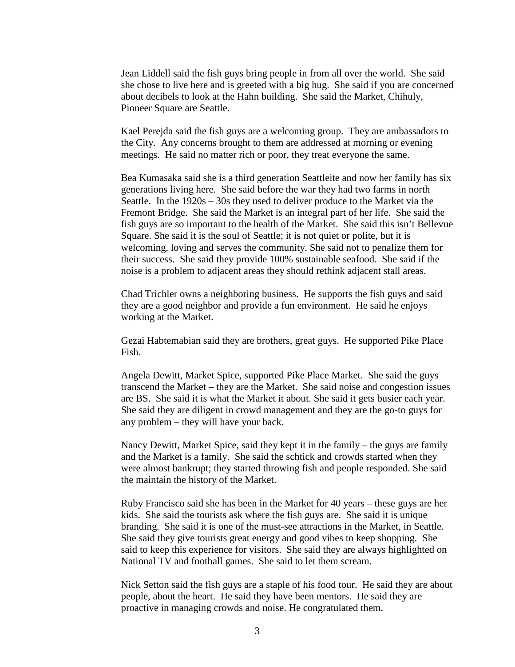Jean Liddell said the fish guys bring people in from all over the world. She said she chose to live here and is greeted with a big hug. She said if you are concerned about decibels to look at the Hahn building. She said the Market, Chihuly, Pioneer Square are Seattle.

Kael Perejda said the fish guys are a welcoming group. They are ambassadors to the City. Any concerns brought to them are addressed at morning or evening meetings. He said no matter rich or poor, they treat everyone the same.

Bea Kumasaka said she is a third generation Seattleite and now her family has six generations living here. She said before the war they had two farms in north Seattle. In the 1920s – 30s they used to deliver produce to the Market via the Fremont Bridge. She said the Market is an integral part of her life. She said the fish guys are so important to the health of the Market. She said this isn't Bellevue Square. She said it is the soul of Seattle; it is not quiet or polite, but it is welcoming, loving and serves the community. She said not to penalize them for their success. She said they provide 100% sustainable seafood. She said if the noise is a problem to adjacent areas they should rethink adjacent stall areas.

Chad Trichler owns a neighboring business. He supports the fish guys and said they are a good neighbor and provide a fun environment. He said he enjoys working at the Market.

Gezai Habtemabian said they are brothers, great guys. He supported Pike Place Fish.

Angela Dewitt, Market Spice, supported Pike Place Market. She said the guys transcend the Market – they are the Market. She said noise and congestion issues are BS. She said it is what the Market it about. She said it gets busier each year. She said they are diligent in crowd management and they are the go-to guys for any problem – they will have your back.

Nancy Dewitt, Market Spice, said they kept it in the family – the guys are family and the Market is a family. She said the schtick and crowds started when they were almost bankrupt; they started throwing fish and people responded. She said the maintain the history of the Market.

Ruby Francisco said she has been in the Market for 40 years – these guys are her kids. She said the tourists ask where the fish guys are. She said it is unique branding. She said it is one of the must-see attractions in the Market, in Seattle. She said they give tourists great energy and good vibes to keep shopping. She said to keep this experience for visitors. She said they are always highlighted on National TV and football games. She said to let them scream.

Nick Setton said the fish guys are a staple of his food tour. He said they are about people, about the heart. He said they have been mentors. He said they are proactive in managing crowds and noise. He congratulated them.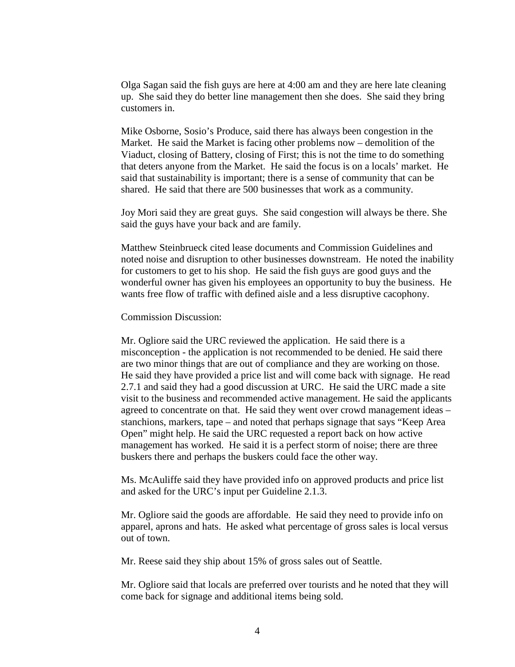Olga Sagan said the fish guys are here at 4:00 am and they are here late cleaning up. She said they do better line management then she does. She said they bring customers in.

Mike Osborne, Sosio's Produce, said there has always been congestion in the Market. He said the Market is facing other problems now – demolition of the Viaduct, closing of Battery, closing of First; this is not the time to do something that deters anyone from the Market. He said the focus is on a locals' market. He said that sustainability is important; there is a sense of community that can be shared. He said that there are 500 businesses that work as a community.

Joy Mori said they are great guys. She said congestion will always be there. She said the guys have your back and are family.

Matthew Steinbrueck cited lease documents and Commission Guidelines and noted noise and disruption to other businesses downstream. He noted the inability for customers to get to his shop. He said the fish guys are good guys and the wonderful owner has given his employees an opportunity to buy the business. He wants free flow of traffic with defined aisle and a less disruptive cacophony.

Commission Discussion:

Mr. Ogliore said the URC reviewed the application. He said there is a misconception - the application is not recommended to be denied. He said there are two minor things that are out of compliance and they are working on those. He said they have provided a price list and will come back with signage. He read 2.7.1 and said they had a good discussion at URC. He said the URC made a site visit to the business and recommended active management. He said the applicants agreed to concentrate on that. He said they went over crowd management ideas – stanchions, markers, tape – and noted that perhaps signage that says "Keep Area Open" might help. He said the URC requested a report back on how active management has worked. He said it is a perfect storm of noise; there are three buskers there and perhaps the buskers could face the other way.

Ms. McAuliffe said they have provided info on approved products and price list and asked for the URC's input per Guideline 2.1.3.

Mr. Ogliore said the goods are affordable. He said they need to provide info on apparel, aprons and hats. He asked what percentage of gross sales is local versus out of town.

Mr. Reese said they ship about 15% of gross sales out of Seattle.

Mr. Ogliore said that locals are preferred over tourists and he noted that they will come back for signage and additional items being sold.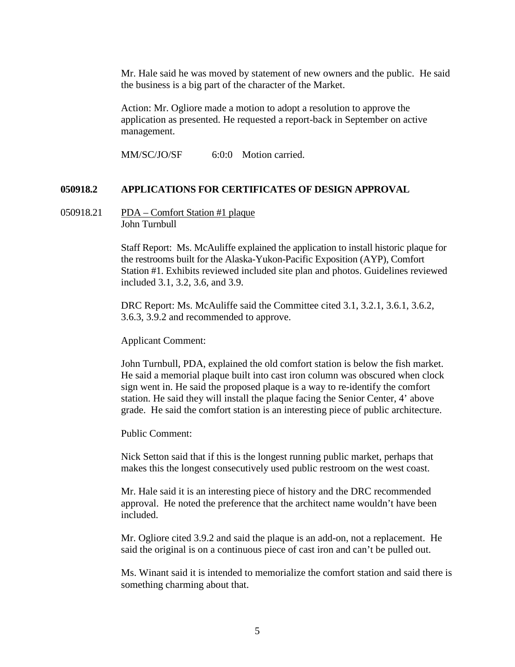Mr. Hale said he was moved by statement of new owners and the public. He said the business is a big part of the character of the Market.

Action: Mr. Ogliore made a motion to adopt a resolution to approve the application as presented. He requested a report-back in September on active management.

MM/SC/JO/SF 6:0:0 Motion carried.

#### **050918.2 APPLICATIONS FOR CERTIFICATES OF DESIGN APPROVAL**

050918.21 PDA – Comfort Station #1 plaque John Turnbull

> Staff Report: Ms. McAuliffe explained the application to install historic plaque for the restrooms built for the Alaska-Yukon-Pacific Exposition (AYP), Comfort Station #1. Exhibits reviewed included site plan and photos. Guidelines reviewed included 3.1, 3.2, 3.6, and 3.9.

DRC Report: Ms. McAuliffe said the Committee cited 3.1, 3.2.1, 3.6.1, 3.6.2, 3.6.3, 3.9.2 and recommended to approve.

Applicant Comment:

John Turnbull, PDA, explained the old comfort station is below the fish market. He said a memorial plaque built into cast iron column was obscured when clock sign went in. He said the proposed plaque is a way to re-identify the comfort station. He said they will install the plaque facing the Senior Center, 4' above grade. He said the comfort station is an interesting piece of public architecture.

Public Comment:

Nick Setton said that if this is the longest running public market, perhaps that makes this the longest consecutively used public restroom on the west coast.

Mr. Hale said it is an interesting piece of history and the DRC recommended approval. He noted the preference that the architect name wouldn't have been included.

Mr. Ogliore cited 3.9.2 and said the plaque is an add-on, not a replacement. He said the original is on a continuous piece of cast iron and can't be pulled out.

Ms. Winant said it is intended to memorialize the comfort station and said there is something charming about that.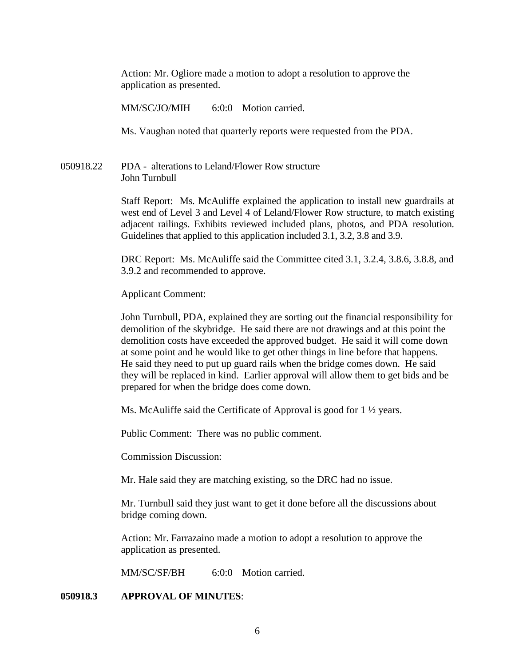Action: Mr. Ogliore made a motion to adopt a resolution to approve the application as presented.

MM/SC/JO/MIH 6:0:0 Motion carried.

Ms. Vaughan noted that quarterly reports were requested from the PDA.

#### 050918.22 PDA - alterations to Leland/Flower Row structure John Turnbull

Staff Report: Ms. McAuliffe explained the application to install new guardrails at west end of Level 3 and Level 4 of Leland/Flower Row structure, to match existing adjacent railings. Exhibits reviewed included plans, photos, and PDA resolution. Guidelines that applied to this application included 3.1, 3.2, 3.8 and 3.9.

DRC Report: Ms. McAuliffe said the Committee cited 3.1, 3.2.4, 3.8.6, 3.8.8, and 3.9.2 and recommended to approve.

Applicant Comment:

John Turnbull, PDA, explained they are sorting out the financial responsibility for demolition of the skybridge. He said there are not drawings and at this point the demolition costs have exceeded the approved budget. He said it will come down at some point and he would like to get other things in line before that happens. He said they need to put up guard rails when the bridge comes down. He said they will be replaced in kind. Earlier approval will allow them to get bids and be prepared for when the bridge does come down.

Ms. McAuliffe said the Certificate of Approval is good for 1  $\frac{1}{2}$  years.

Public Comment: There was no public comment.

Commission Discussion:

Mr. Hale said they are matching existing, so the DRC had no issue.

Mr. Turnbull said they just want to get it done before all the discussions about bridge coming down.

Action: Mr. Farrazaino made a motion to adopt a resolution to approve the application as presented.

MM/SC/SF/BH 6:0:0 Motion carried.

#### **050918.3 APPROVAL OF MINUTES**: